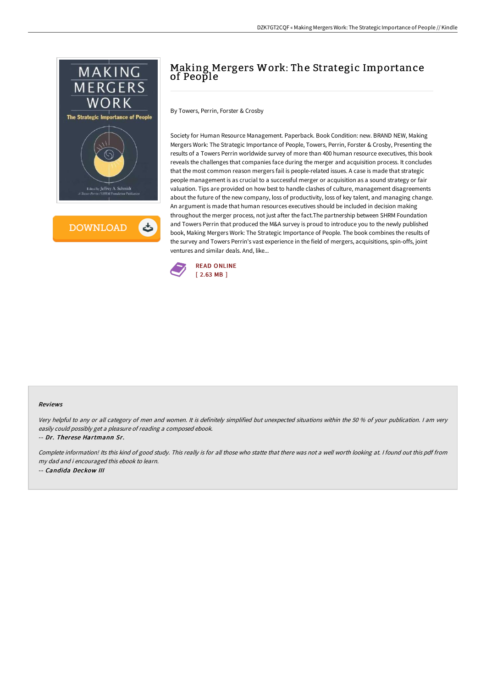

**DOWNLOAD** ٹ

# Making Mergers Work: The Strategic Importance of People

By Towers, Perrin, Forster & Crosby

Society for Human Resource Management. Paperback. Book Condition: new. BRAND NEW, Making Mergers Work: The Strategic Importance of People, Towers, Perrin, Forster & Crosby, Presenting the results of a Towers Perrin worldwide survey of more than 400 human resource executives, this book reveals the challenges that companies face during the merger and acquisition process. It concludes that the most common reason mergers fail is people-related issues. A case is made that strategic people management is as crucial to a successful merger or acquisition as a sound strategy or fair valuation. Tips are provided on how best to handle clashes of culture, management disagreements about the future of the new company, loss of productivity, loss of key talent, and managing change. An argument is made that human resources executives should be included in decision making throughout the merger process, not just after the fact.The partnership between SHRM Foundation and Towers Perrin that produced the M&A survey is proud to introduce you to the newly published book, Making Mergers Work: The Strategic Importance of People. The book combines the results of the survey and Towers Perrin's vast experience in the field of mergers, acquisitions, spin-offs, joint ventures and similar deals. And, like...



#### Reviews

Very helpful to any or all category of men and women. It is definitely simplified but unexpected situations within the <sup>50</sup> % of your publication. <sup>I</sup> am very easily could possibly get <sup>a</sup> pleasure of reading <sup>a</sup> composed ebook.

-- Dr. Therese Hartmann Sr.

Complete information! Its this kind of good study. This really is for all those who statte that there was not <sup>a</sup> well worth looking at. <sup>I</sup> found out this pdf from my dad and i encouraged this ebook to learn. -- Candida Deckow III